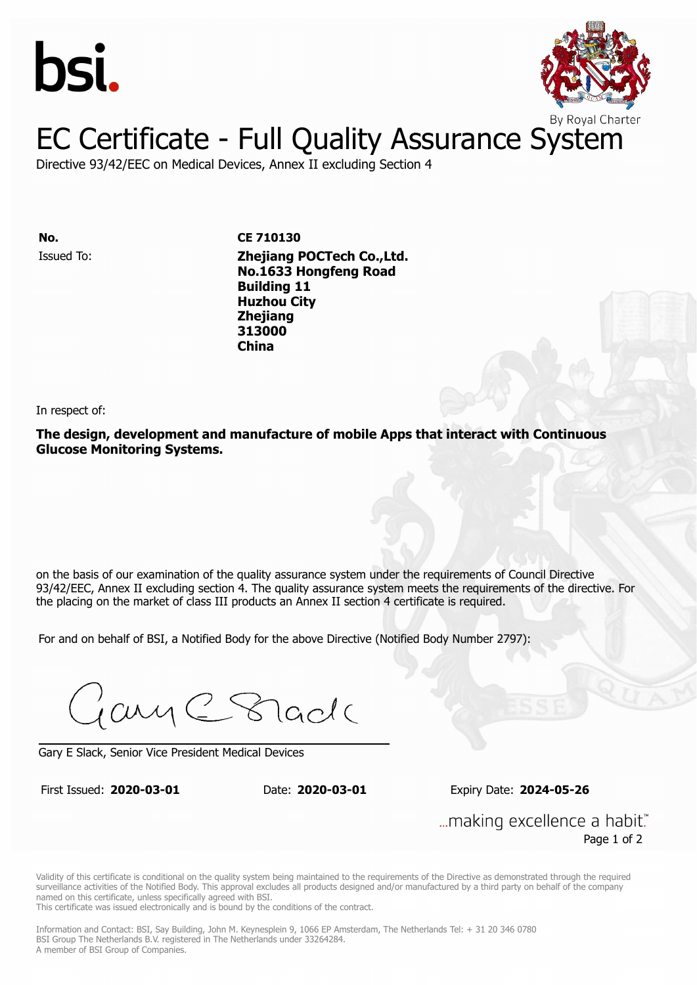



# EC Certificate - Full Quality Assurance System

Directive 93/42/EEC on Medical Devices, Annex II excluding Section 4

Issued To: **Zhejiang POCTech Co.,Ltd. No. CE 710130 No.1633 Hongfeng Road Building 11** Issued To: **Zhejiang POCTech Co.,Ltd. Huzhou City No.1633 Hongfeng Road Building 11 313000 Huzhou City China Zhejiang 313000 China**

In respect of:

**The design, development and manufacture of mobile Apps that interact with Continuous Glucose Monitoring Systems.**

on the basis of our examination of the quality assurance system under the requirements of Council Directive 93/42/EEC, Annex II excluding section 4. The quality assurance system meets the requirements of the directive. For the placing on the market of class III products an Annex II section 4 certificate is required.

For and on behalf of BSI, a Notified Body for the above Directive (Notified Body Number 2797):

Gary C Stade

Gary E Slack, Senior Vice President Medical Devices

First Issued: **2020-03-01** Date: **2020-03-01** Expiry Date: **2024-05-26**

First Issued: **2020-03-01** Date: **2020-03-01** Expiry Date: **2024-05-26**

... making excellence a habit." Page 1 of 2

Validity of this certificate is conditional on the quality system being maintained to the requirements of the Directive as demonstrated through the required surveillance activities of the Notified Body. This approval excludes all products designed and/or manufactured by a third party on behalf of the company named on this certificate, unless specifically agreed with BSI.

This certificate was issued electronically and is bound by the conditions of the contract.

Information and Contact: BSI, Say Building, John M. Keynesplein 9, 1066 EP Amsterdam, The Netherlands Tel: + 31 20 346 0780 BSI Group The Netherlands B.V. registered in The Netherlands under 33264284. A member of BSI Group of Companies.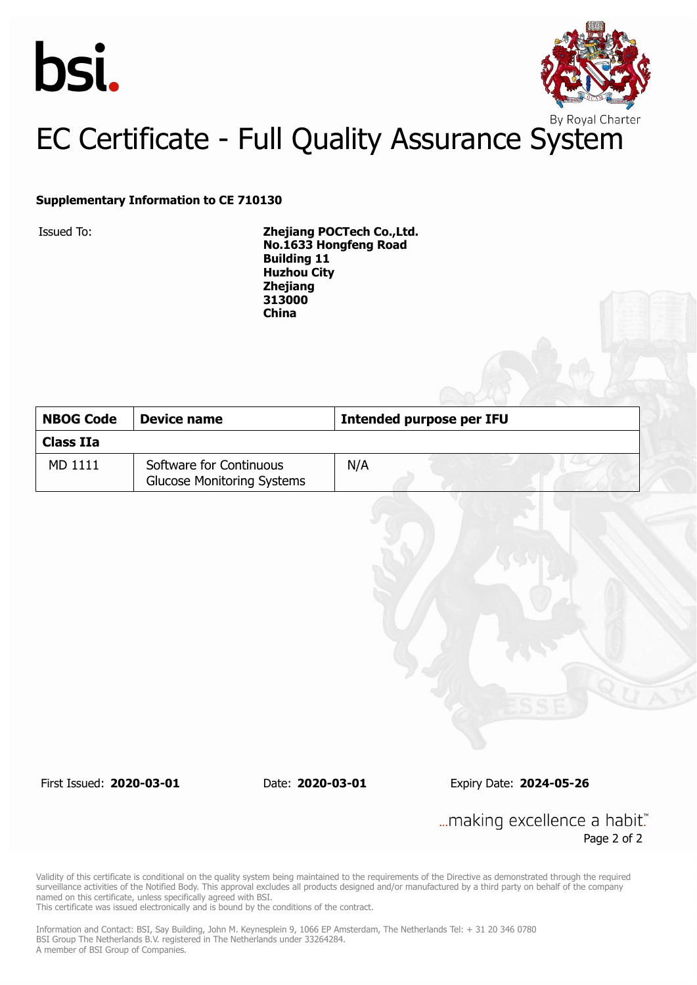



# EC Certificate - Full Quality Assurance System

### **Supplementary Information to CE 710130**

Issued To: **Zhejiang POCTech Co.,Ltd. No.1633 Hongfeng Road Building 11 Huzhou City Zhejiang 313000 China**

| <b>NBOG Code</b><br>Device name |                                                              | Intended purpose per IFU |  |
|---------------------------------|--------------------------------------------------------------|--------------------------|--|
| Class IIa                       |                                                              |                          |  |
| MD 1111                         | Software for Continuous<br><b>Glucose Monitoring Systems</b> | N/A                      |  |

First Issued: **2020-03-01** Date: **2020-03-01** Expiry Date: **2024-05-26**

... making excellence a habit." Page 2 of 2

Validity of this certificate is conditional on the quality system being maintained to the requirements of the Directive as demonstrated through the required surveillance activities of the Notified Body. This approval excludes all products designed and/or manufactured by a third party on behalf of the company named on this certificate, unless specifically agreed with BSI.

This certificate was issued electronically and is bound by the conditions of the contract.

Information and Contact: BSI, Say Building, John M. Keynesplein 9, 1066 EP Amsterdam, The Netherlands Tel: + 31 20 346 0780 BSI Group The Netherlands B.V. registered in The Netherlands under 33264284. A member of BSI Group of Companies.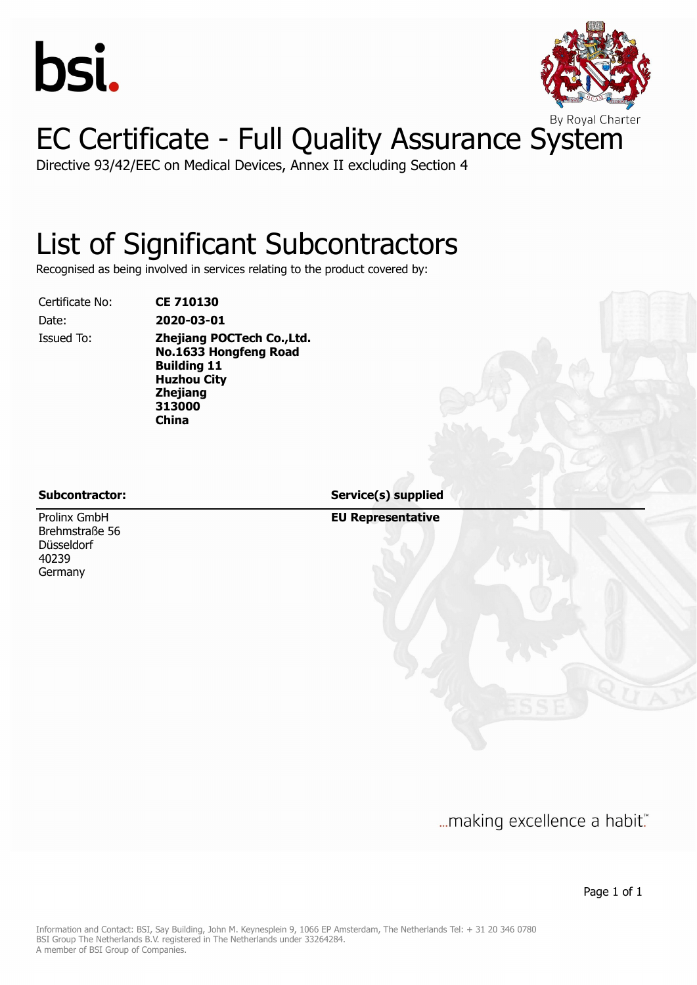



# EC Certificate - Full Quality Assurance System

Directive 93/42/EEC on Medical Devices, Annex II excluding Section 4

## List of Significant Subcontractors

Recognised as being involved in services relating to the product covered by:

Certificate No: **CE 710130**

Date: **2020-03-01** Issued To: **Zhejiang POCTech Co.,Ltd. No.1633 Hongfeng Road Building 11 Huzhou City Zhejiang 313000 China**

Prolinx GmbH Brehmstraße 56 Düsseldorf 40239 Germany

**Subcontractor: Service(s) supplied**

**EU Representative**

... making excellence a habit."

Page 1 of 1